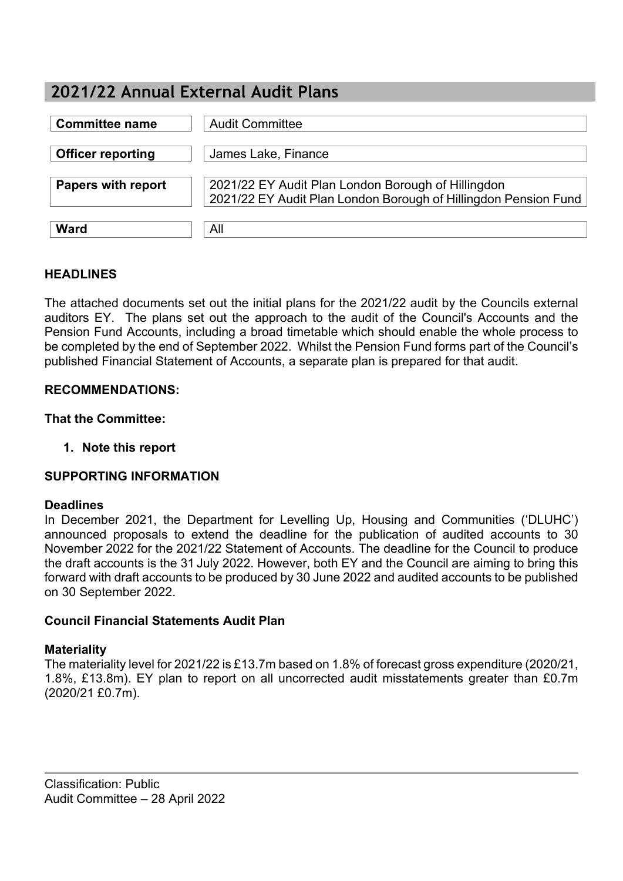# **2021/22 Annual External Audit Plans**

| <b>Committee name</b>     | <b>Audit Committee</b>                                                                                                |
|---------------------------|-----------------------------------------------------------------------------------------------------------------------|
| <b>Officer reporting</b>  | James Lake, Finance                                                                                                   |
| <b>Papers with report</b> | 2021/22 EY Audit Plan London Borough of Hillingdon<br>2021/22 EY Audit Plan London Borough of Hillingdon Pension Fund |
| <b>Ward</b>               | All                                                                                                                   |

## **HEADLINES**

The attached documents set out the initial plans for the 2021/22 audit by the Councils external auditors EY. The plans set out the approach to the audit of the Council's Accounts and the Pension Fund Accounts, including a broad timetable which should enable the whole process to be completed by the end of September 2022. Whilst the Pension Fund forms part of the Council's published Financial Statement of Accounts, a separate plan is prepared for that audit.

### **RECOMMENDATIONS:**

**That the Committee:**

**1. Note this report**

#### **SUPPORTING INFORMATION**

#### **Deadlines**

In December 2021, the Department for Levelling Up, Housing and Communities ('DLUHC') announced proposals to extend the deadline for the publication of audited accounts to 30 November 2022 for the 2021/22 Statement of Accounts. The deadline for the Council to produce the draft accounts is the 31 July 2022. However, both EY and the Council are aiming to bring this forward with draft accounts to be produced by 30 June 2022 and audited accounts to be published on 30 September 2022.

#### **Council Financial Statements Audit Plan**

#### **Materiality**

The materiality level for 2021/22 is £13.7m based on 1.8% of forecast gross expenditure (2020/21, 1.8%, £13.8m). EY plan to report on all uncorrected audit misstatements greater than £0.7m (2020/21 £0.7m).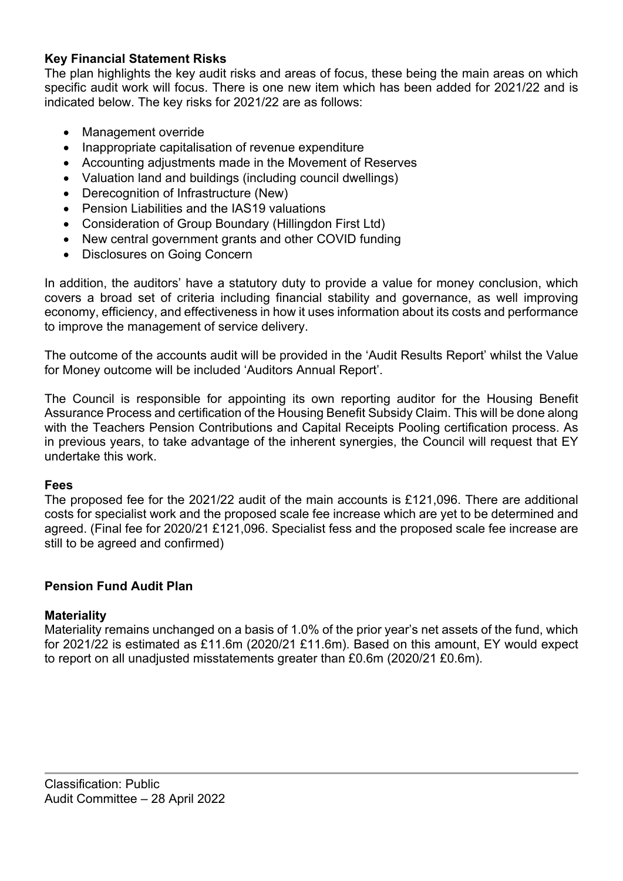## **Key Financial Statement Risks**

The plan highlights the key audit risks and areas of focus, these being the main areas on which specific audit work will focus. There is one new item which has been added for 2021/22 and is indicated below. The key risks for 2021/22 are as follows:

- Management override
- Inappropriate capitalisation of revenue expenditure
- Accounting adjustments made in the Movement of Reserves
- Valuation land and buildings (including council dwellings)
- Derecognition of Infrastructure (New)
- Pension Liabilities and the IAS19 valuations
- Consideration of Group Boundary (Hillingdon First Ltd)
- New central government grants and other COVID funding
- Disclosures on Going Concern

In addition, the auditors' have a statutory duty to provide a value for money conclusion, which covers a broad set of criteria including financial stability and governance, as well improving economy, efficiency, and effectiveness in how it uses information about its costs and performance to improve the management of service delivery.

The outcome of the accounts audit will be provided in the 'Audit Results Report' whilst the Value for Money outcome will be included 'Auditors Annual Report'.

The Council is responsible for appointing its own reporting auditor for the Housing Benefit Assurance Process and certification of the Housing Benefit Subsidy Claim. This will be done along with the Teachers Pension Contributions and Capital Receipts Pooling certification process. As in previous years, to take advantage of the inherent synergies, the Council will request that EY undertake this work.

#### **Fees**

The proposed fee for the 2021/22 audit of the main accounts is £121,096. There are additional costs for specialist work and the proposed scale fee increase which are yet to be determined and agreed. (Final fee for 2020/21 £121,096. Specialist fess and the proposed scale fee increase are still to be agreed and confirmed)

## **Pension Fund Audit Plan**

## **Materiality**

Materiality remains unchanged on a basis of 1.0% of the prior year's net assets of the fund, which for 2021/22 is estimated as £11.6m (2020/21 £11.6m). Based on this amount, EY would expect to report on all unadjusted misstatements greater than £0.6m (2020/21 £0.6m).